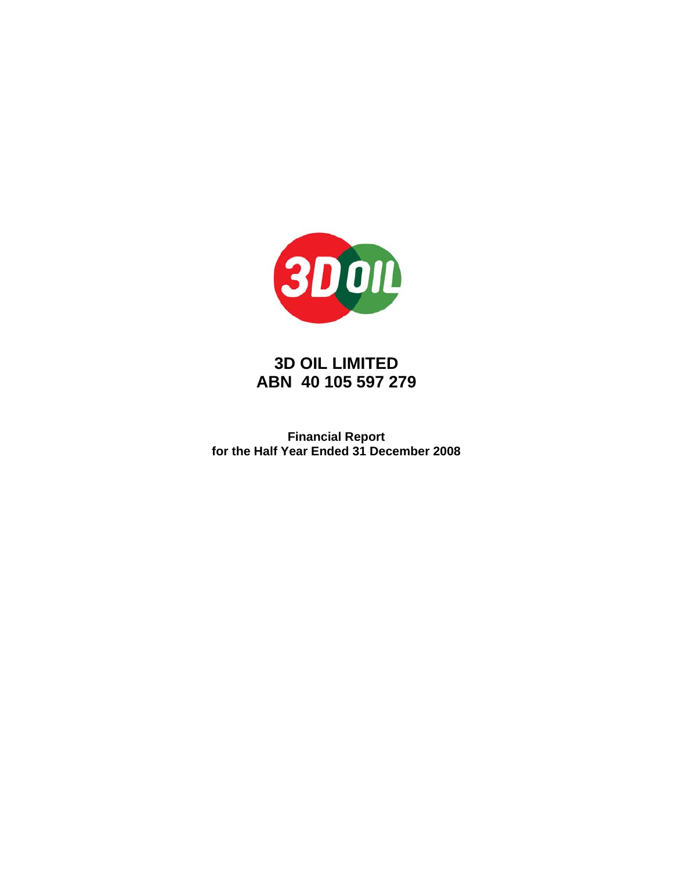

**Financial Report for the Half Year Ended 31 December 2008**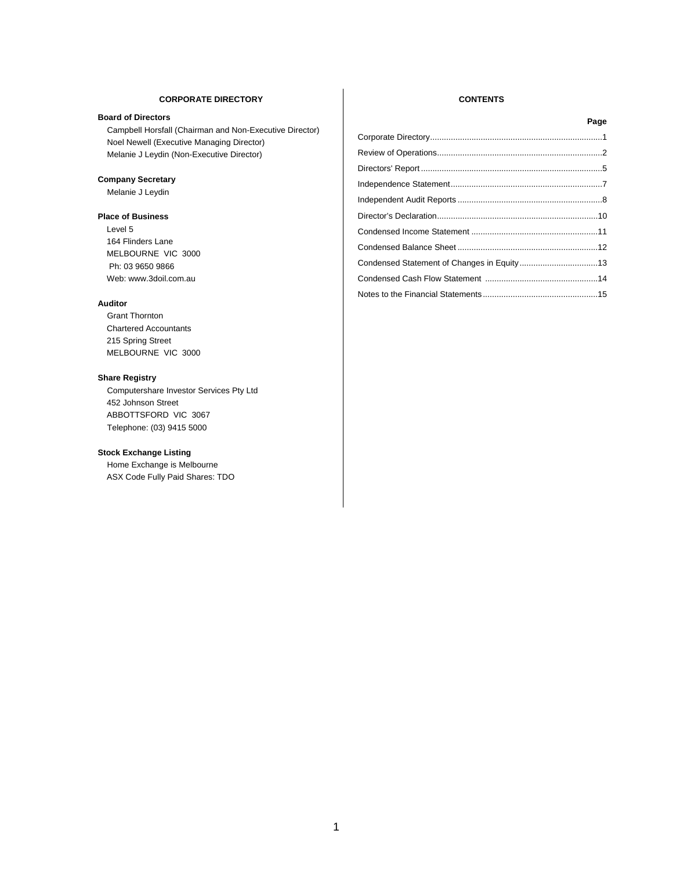#### **CORPORATE DIRECTORY CONTENTS**

#### **Board of Directors**

Campbell Horsfall (Chairman and Non-Executive Director) Noel Newell (Executive Managing Director) Melanie J Leydin (Non-Executive Director)

#### **Company Secretary**

Melanie J Leydin

#### **Place of Business**

 Level 5 164 Flinders Lane MELBOURNE VIC 3000 Ph: 03 9650 9866 Web: www.3doil.com.au

#### **Auditor**

Grant Thornton Chartered Accountants 215 Spring Street MELBOURNE VIC 3000

#### **Share Registry**

Computershare Investor Services Pty Ltd 452 Johnson Street ABBOTTSFORD VIC 3067 Telephone: (03) 9415 5000

#### **Stock Exchange Listing**

Home Exchange is Melbourne ASX Code Fully Paid Shares: TDO

| Page |
|------|
|      |
|      |
|      |
|      |
|      |
|      |
|      |
|      |
|      |
|      |
|      |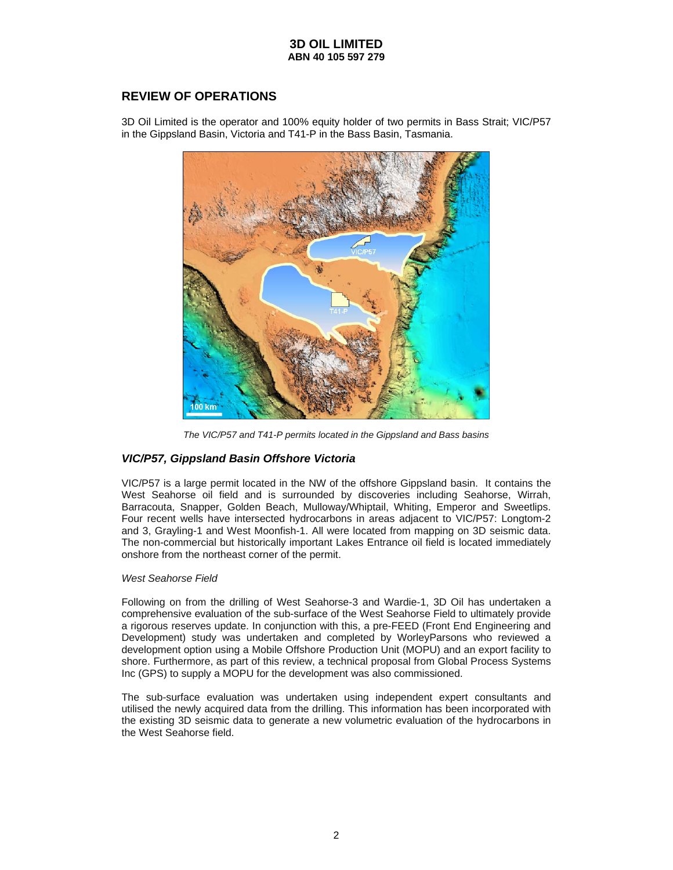# **REVIEW OF OPERATIONS**

3D Oil Limited is the operator and 100% equity holder of two permits in Bass Strait; VIC/P57 in the Gippsland Basin, Victoria and T41-P in the Bass Basin, Tasmania.



*The VIC/P57 and T41-P permits located in the Gippsland and Bass basins* 

# *VIC/P57, Gippsland Basin Offshore Victoria*

VIC/P57 is a large permit located in the NW of the offshore Gippsland basin. It contains the West Seahorse oil field and is surrounded by discoveries including Seahorse, Wirrah, Barracouta, Snapper, Golden Beach, Mulloway/Whiptail, Whiting, Emperor and Sweetlips. Four recent wells have intersected hydrocarbons in areas adjacent to VIC/P57: Longtom-2 and 3, Grayling-1 and West Moonfish-1. All were located from mapping on 3D seismic data. The non-commercial but historically important Lakes Entrance oil field is located immediately onshore from the northeast corner of the permit.

# *West Seahorse Field*

Following on from the drilling of West Seahorse-3 and Wardie-1, 3D Oil has undertaken a comprehensive evaluation of the sub-surface of the West Seahorse Field to ultimately provide a rigorous reserves update. In conjunction with this, a pre-FEED (Front End Engineering and Development) study was undertaken and completed by WorleyParsons who reviewed a development option using a Mobile Offshore Production Unit (MOPU) and an export facility to shore. Furthermore, as part of this review, a technical proposal from Global Process Systems Inc (GPS) to supply a MOPU for the development was also commissioned.

The sub-surface evaluation was undertaken using independent expert consultants and utilised the newly acquired data from the drilling. This information has been incorporated with the existing 3D seismic data to generate a new volumetric evaluation of the hydrocarbons in the West Seahorse field.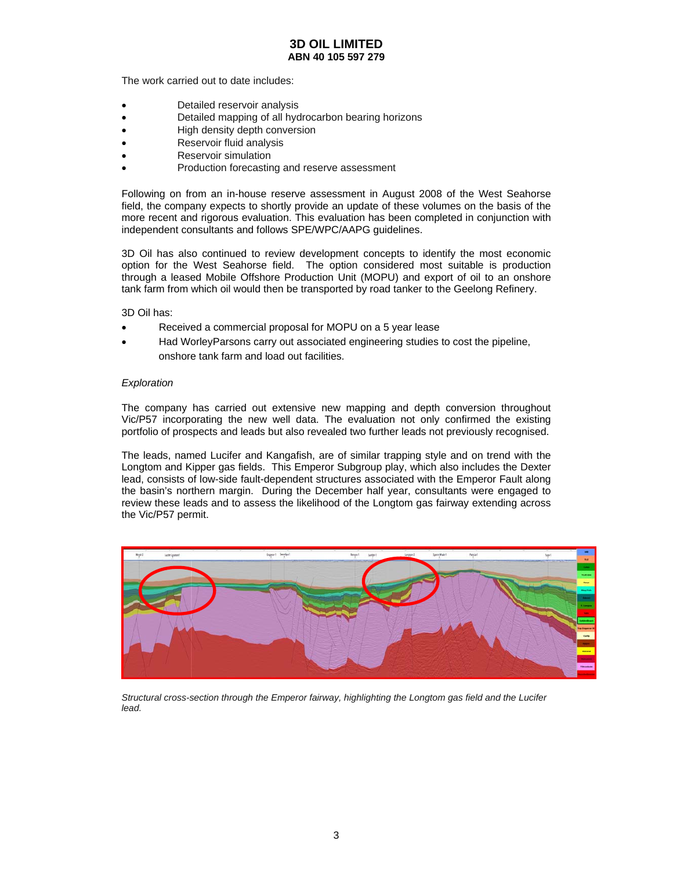The work carried out to date includes:

- Detailed reservoir analysis
- Detailed mapping of all hydrocarbon bearing horizons
- High density depth conversion
- Reservoir fluid analysis
- Reservoir simulation
- Production forecasting and reserve assessment

Following on from an in-house reserve assessment in August 2008 of the West Seahorse field, the company expects to shortly provide an update of these volumes on the basis of the more recent and rigorous evaluation. This evaluation has been completed in conjunction with independent consultants and follows SPE/WPC/AAPG guidelines.

3D Oil has also continued to review development concepts to identify the most economic option for the West Seahorse field. The option considered most suitable is production through a leased Mobile Offshore Production Unit (MOPU) and export of oil to an onshore tank farm from which oil would then be transported by road tanker to the Geelong Refinery.

3D Oil has:

- Received a commercial proposal for MOPU on a 5 year lease
- Had WorleyParsons carry out associated engineering studies to cost the pipeline, onshore tank farm and load out facilities.

#### *Exploration*

The company has carried out extensive new mapping and depth conversion throughout Vic/P57 incorporating the new well data. The evaluation not only confirmed the existing portfolio of prospects and leads but also revealed two further leads not previously recognised.

The leads, named Lucifer and Kangafish, are of similar trapping style and on trend with the Longtom and Kipper gas fields. This Emperor Subgroup play, which also includes the Dexter lead, consists of low-side fault-dependent structures associated with the Emperor Fault along the basin's northern margin. During the December half year, consultants were engaged to review these leads and to assess the likelihood of the Longtom gas fairway extending across the Vic/P57 permit.



*Structural cross-section through the Emperor fairway, highlighting the Longtom gas field and the Lucifer lead.*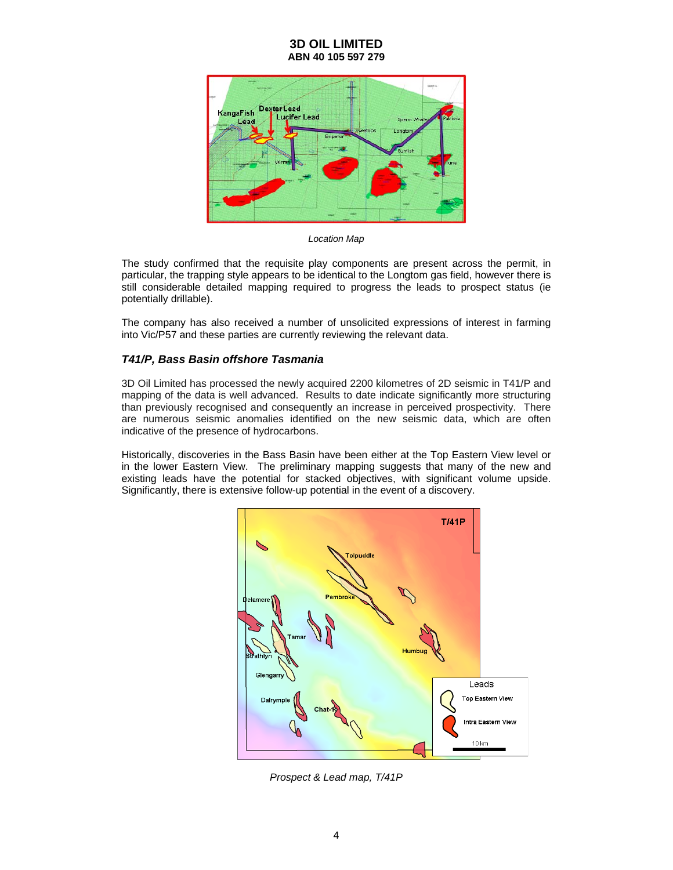

*Location Map* 

The study confirmed that the requisite play components are present across the permit, in particular, the trapping style appears to be identical to the Longtom gas field, however there is still considerable detailed mapping required to progress the leads to prospect status (ie potentially drillable).

The company has also received a number of unsolicited expressions of interest in farming into Vic/P57 and these parties are currently reviewing the relevant data.

# *T41/P, Bass Basin offshore Tasmania*

3D Oil Limited has processed the newly acquired 2200 kilometres of 2D seismic in T41/P and mapping of the data is well advanced. Results to date indicate significantly more structuring than previously recognised and consequently an increase in perceived prospectivity. There are numerous seismic anomalies identified on the new seismic data, which are often indicative of the presence of hydrocarbons.

Historically, discoveries in the Bass Basin have been either at the Top Eastern View level or in the lower Eastern View. The preliminary mapping suggests that many of the new and existing leads have the potential for stacked objectives, with significant volume upside. Significantly, there is extensive follow-up potential in the event of a discovery.



*Prospect & Lead map, T/41P*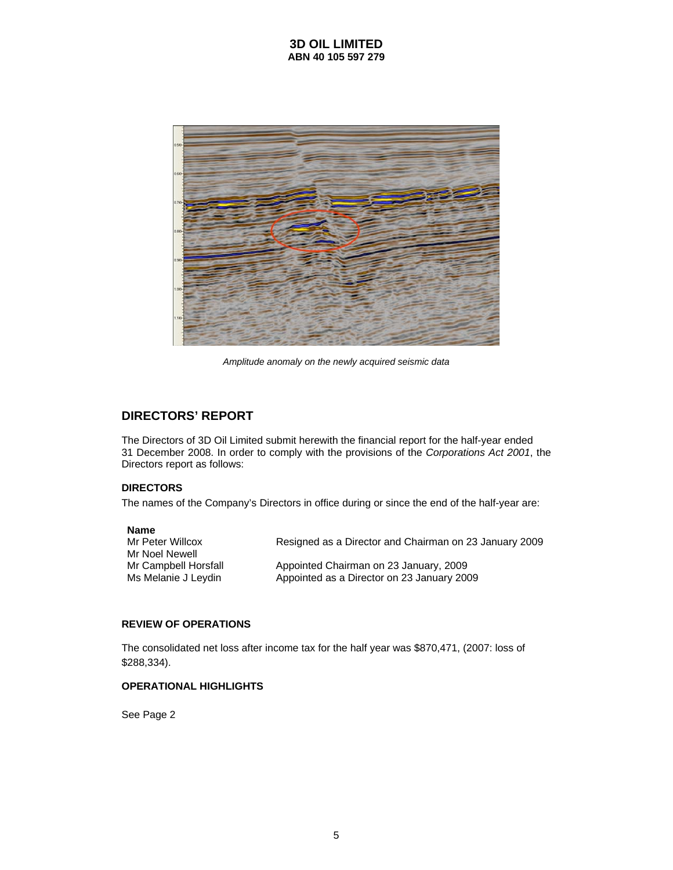

*Amplitude anomaly on the newly acquired seismic data* 

# **DIRECTORS' REPORT**

The Directors of 3D Oil Limited submit herewith the financial report for the half-year ended 31 December 2008. In order to comply with the provisions of the *Corporations Act 2001*, the Directors report as follows:

### **DIRECTORS**

The names of the Company's Directors in office during or since the end of the half-year are:

#### **Name**

| Resigned as a Director and Chairman on 23 January 2009 |
|--------------------------------------------------------|
|                                                        |
| Appointed Chairman on 23 January, 2009                 |
| Appointed as a Director on 23 January 2009             |
|                                                        |

### **REVIEW OF OPERATIONS**

The consolidated net loss after income tax for the half year was \$870,471, (2007: loss of \$288,334).

# **OPERATIONAL HIGHLIGHTS**

See Page 2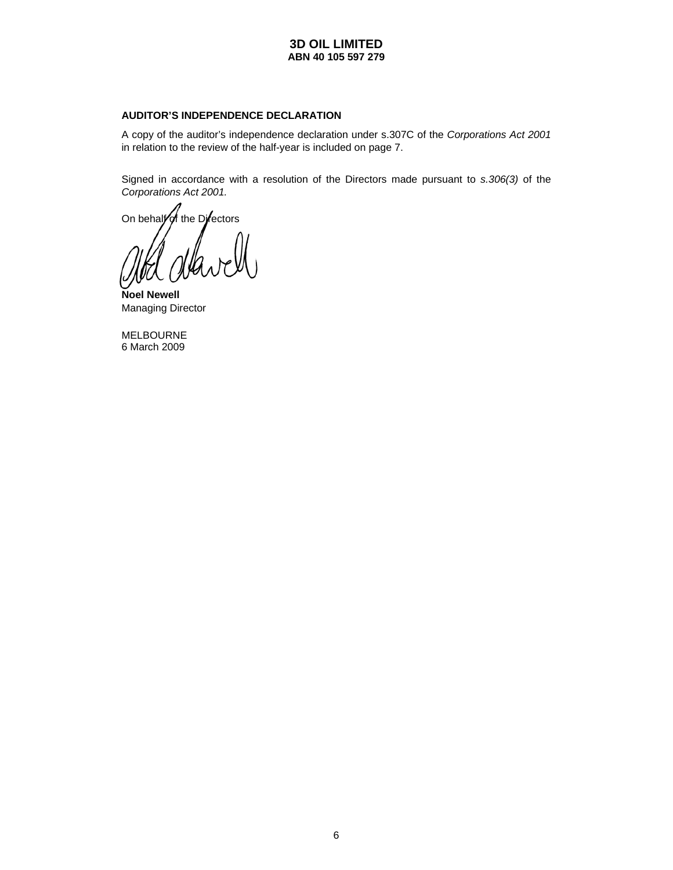# **AUDITOR'S INDEPENDENCE DECLARATION**

A copy of the auditor's independence declaration under s.307C of the *Corporations Act 2001* in relation to the review of the half-year is included on page 7.

Signed in accordance with a resolution of the Directors made pursuant to *s.306(3)* of the *Corporations Act 2001.* 

On behalfor the Directors

**Noel Newell**  Managing Director

MELBOURNE 6 March 2009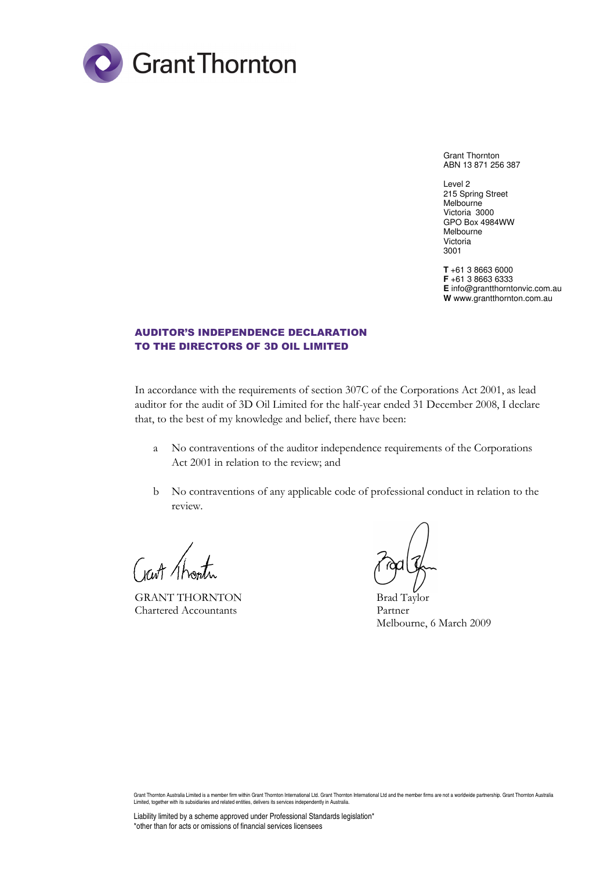

Grant Thornton ABN 13 871 256 387

Level 2 215 Spring Street **Melbourne** Victoria 3000 GPO Box 4984WW Melbourne Victoria 3001

**T** +61 3 8663 6000 **F** +61 3 8663 6333 **E** info@grantthorntonvic.com.au **W** www.grantthornton.com.au

# AUDITOR'S INDEPENDENCE DECLARATION TO THE DIRECTORS OF 3D OIL LIMITED

In accordance with the requirements of section 307C of the Corporations Act 2001, as lead auditor for the audit of 3D Oil Limited for the half-year ended 31 December 2008, I declare that, to the best of my knowledge and belief, there have been:

- a No contraventions of the auditor independence requirements of the Corporations Act 2001 in relation to the review; and
- b No contraventions of any applicable code of professional conduct in relation to the review.

GRANT THORNTON Brad Taylor Chartered Accountants Partner

Melbourne, 6 March 2009

Grant Thornton Australia Limited is a member firm within Grant Thornton International Ltd. Grant Thornton International Ltd and the member firms are not a worldwide partnership. Grant Thornton Australia Limited, together with its subsidiaries and related entities, delivers its services independently in Australia.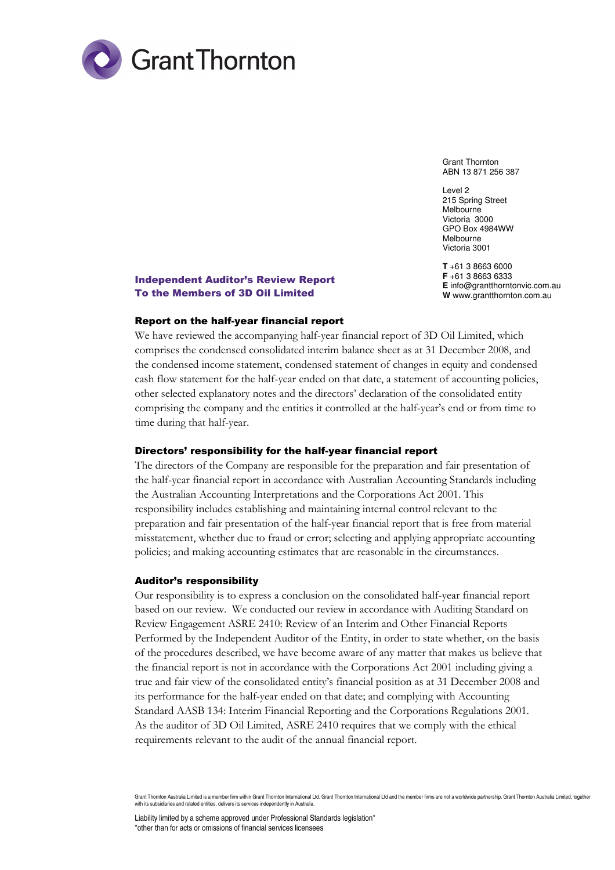

Grant Thornton ABN 13 871 256 387

Level 2 215 Spring Street Melbourne Victoria 3000 GPO Box 4984WW Melbourne Victoria 3001

**T** +61 3 8663 6000 **F** +61 3 8663 6333 **E** info@grantthorntonvic.com.au **W** www.grantthornton.com.au

# Independent Auditor's Review Report To the Members of 3D Oil Limited

# Report on the half-year financial report

We have reviewed the accompanying half-year financial report of 3D Oil Limited, which comprises the condensed consolidated interim balance sheet as at 31 December 2008, and the condensed income statement, condensed statement of changes in equity and condensed cash flow statement for the half-year ended on that date, a statement of accounting policies, other selected explanatory notes and the directors' declaration of the consolidated entity comprising the company and the entities it controlled at the half-year's end or from time to time during that half-year.

#### Directors' responsibility for the half-year financial report

The directors of the Company are responsible for the preparation and fair presentation of the half-year financial report in accordance with Australian Accounting Standards including the Australian Accounting Interpretations and the Corporations Act 2001. This responsibility includes establishing and maintaining internal control relevant to the preparation and fair presentation of the half-year financial report that is free from material misstatement, whether due to fraud or error; selecting and applying appropriate accounting policies; and making accounting estimates that are reasonable in the circumstances.

#### Auditor's responsibility

Our responsibility is to express a conclusion on the consolidated half-year financial report based on our review. We conducted our review in accordance with Auditing Standard on Review Engagement ASRE 2410: Review of an Interim and Other Financial Reports Performed by the Independent Auditor of the Entity, in order to state whether, on the basis of the procedures described, we have become aware of any matter that makes us believe that the financial report is not in accordance with the Corporations Act 2001 including giving a true and fair view of the consolidated entity's financial position as at 31 December 2008 and its performance for the half-year ended on that date; and complying with Accounting Standard AASB 134: Interim Financial Reporting and the Corporations Regulations 2001. As the auditor of 3D Oil Limited, ASRE 2410 requires that we comply with the ethical requirements relevant to the audit of the annual financial report.

Grant Thornton Australia Limited is a member firm within Grant Thornton International Ltd. Grant Thornton International Ltd and the member firms are not a worldwide partnership. Grant Thornton Australia Limited, together with its subsidiaries and related entities, delivers its services independently in Australia.

Liability limited by a scheme approved under Professional Standards legislation\* \*other than for acts or omissions of financial services licensees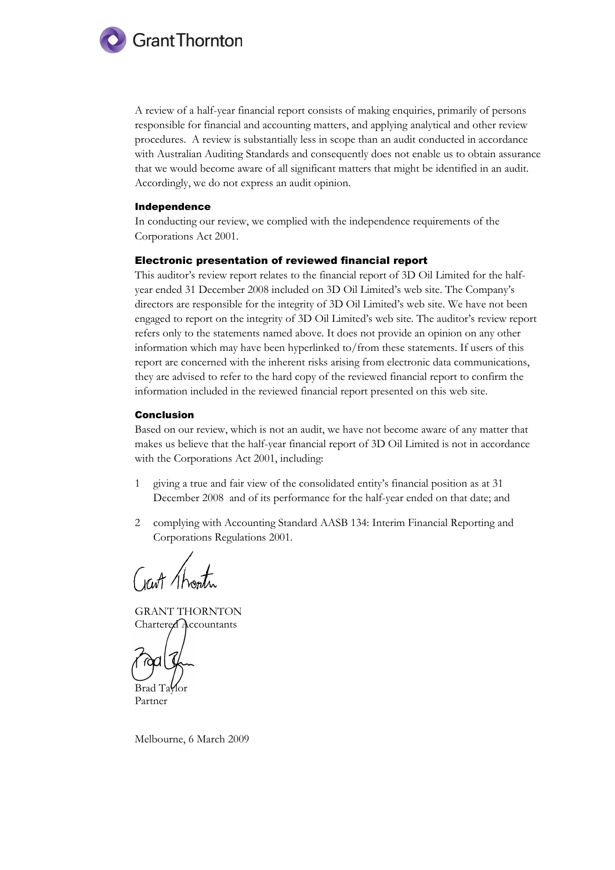

A review of a half-year financial report consists of making enquiries, primarily of persons responsible for financial and accounting matters, and applying analytical and other review procedures. A review is substantially less in scope than an audit conducted in accordance with Australian Auditing Standards and consequently does not enable us to obtain assurance that we would become aware of all significant matters that might be identified in an audit. Accordingly, we do not express an audit opinion.

#### Independence

In conducting our review, we complied with the independence requirements of the Corporations Act 2001.

#### Electronic presentation of reviewed financial report

This auditor's review report relates to the financial report of 3D Oil Limited for the halfyear ended 31 December 2008 included on 3D Oil Limited's web site. The Company's directors are responsible for the integrity of 3D Oil Limited's web site. We have not been engaged to report on the integrity of 3D Oil Limited's web site. The auditor's review report refers only to the statements named above. It does not provide an opinion on any other information which may have been hyperlinked to/from these statements. If users of this report are concerned with the inherent risks arising from electronic data communications, they are advised to refer to the hard copy of the reviewed financial report to confirm the information included in the reviewed financial report presented on this web site.

#### Conclusion

Based on our review, which is not an audit, we have not become aware of any matter that makes us believe that the half-year financial report of 3D Oil Limited is not in accordance with the Corporations Act 2001, including:

- 1 giving a true and fair view of the consolidated entity's financial position as at 31 December 2008 and of its performance for the half-year ended on that date; and
- 2 complying with Accounting Standard AASB 134: Interim Financial Reporting and Corporations Regulations 2001.

Crart Thonth

GRANT THORNTON Chartered Accountants

Brad Ta**Y**lor

Partner

Melbourne, 6 March 2009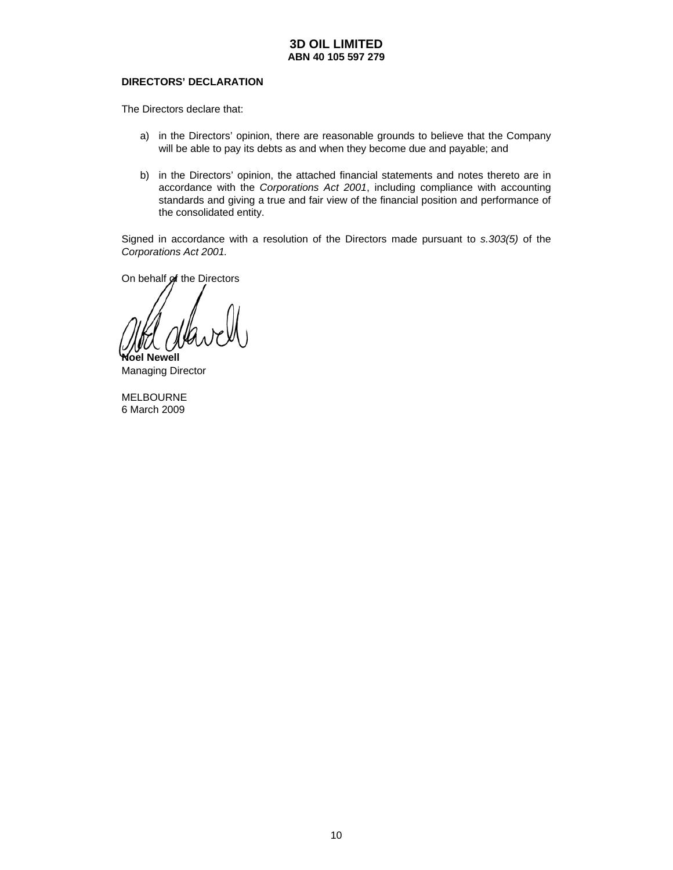#### **DIRECTORS' DECLARATION**

The Directors declare that:

- a) in the Directors' opinion, there are reasonable grounds to believe that the Company will be able to pay its debts as and when they become due and payable; and
- b) in the Directors' opinion, the attached financial statements and notes thereto are in accordance with the *Corporations Act 2001*, including compliance with accounting standards and giving a true and fair view of the financial position and performance of the consolidated entity.

Signed in accordance with a resolution of the Directors made pursuant to *s.303(5)* of the *Corporations Act 2001.* 

On behalf of the Directors

**Noel Newell** 

Managing Director

MELBOURNE 6 March 2009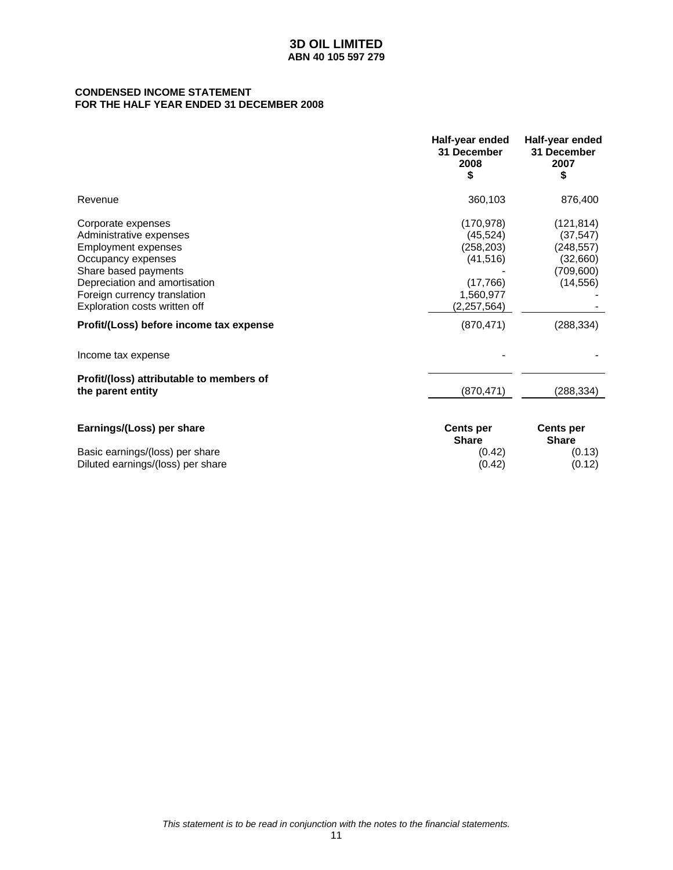## **CONDENSED INCOME STATEMENT FOR THE HALF YEAR ENDED 31 DECEMBER 2008**

|                                                                                                                                                                                                                                                                        | Half-year ended<br>31 December<br>2008<br>\$                                                             | Half-year ended<br>31 December<br>2007<br>\$                                               |
|------------------------------------------------------------------------------------------------------------------------------------------------------------------------------------------------------------------------------------------------------------------------|----------------------------------------------------------------------------------------------------------|--------------------------------------------------------------------------------------------|
| Revenue                                                                                                                                                                                                                                                                | 360,103                                                                                                  | 876,400                                                                                    |
| Corporate expenses<br>Administrative expenses<br><b>Employment expenses</b><br>Occupancy expenses<br>Share based payments<br>Depreciation and amortisation<br>Foreign currency translation<br>Exploration costs written off<br>Profit/(Loss) before income tax expense | (170, 978)<br>(45, 524)<br>(258, 203)<br>(41, 516)<br>(17,766)<br>1,560,977<br>(2,257,564)<br>(870, 471) | (121, 814)<br>(37, 547)<br>(248, 557)<br>(32,660)<br>(709, 600)<br>(14, 556)<br>(288, 334) |
| Income tax expense                                                                                                                                                                                                                                                     |                                                                                                          |                                                                                            |
| Profit/(loss) attributable to members of<br>the parent entity                                                                                                                                                                                                          | (870, 471)                                                                                               | (288, 334)                                                                                 |
| Earnings/(Loss) per share<br>Basic earnings/(loss) per share<br>Diluted earnings/(loss) per share                                                                                                                                                                      | <b>Cents per</b><br><b>Share</b><br>(0.42)<br>(0.42)                                                     | <b>Cents per</b><br><b>Share</b><br>(0.13)<br>(0.12)                                       |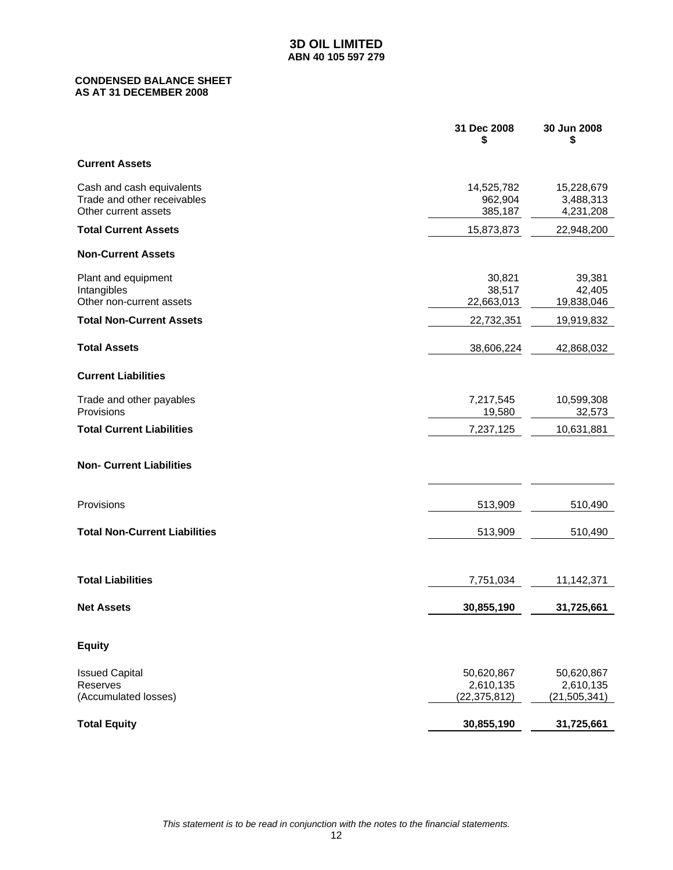# **CONDENSED BALANCE SHEET AS AT 31 DECEMBER 2008**

|                                                                                  | 31 Dec 2008<br>\$                         | 30 Jun 2008<br>\$                         |
|----------------------------------------------------------------------------------|-------------------------------------------|-------------------------------------------|
| <b>Current Assets</b>                                                            |                                           |                                           |
| Cash and cash equivalents<br>Trade and other receivables<br>Other current assets | 14,525,782<br>962,904<br>385,187          | 15,228,679<br>3,488,313<br>4,231,208      |
| <b>Total Current Assets</b>                                                      | 15,873,873                                | 22,948,200                                |
| <b>Non-Current Assets</b>                                                        |                                           |                                           |
| Plant and equipment<br>Intangibles<br>Other non-current assets                   | 30,821<br>38,517<br>22,663,013            | 39,381<br>42,405<br>19,838,046            |
| <b>Total Non-Current Assets</b>                                                  | 22,732,351                                | 19,919,832                                |
| <b>Total Assets</b>                                                              | 38,606,224                                | 42,868,032                                |
| <b>Current Liabilities</b>                                                       |                                           |                                           |
| Trade and other payables<br>Provisions                                           | 7,217,545<br>19,580                       | 10,599,308<br>32,573                      |
| <b>Total Current Liabilities</b>                                                 | 7,237,125                                 | 10,631,881                                |
| <b>Non- Current Liabilities</b>                                                  |                                           |                                           |
| Provisions                                                                       | 513,909                                   | 510,490                                   |
| <b>Total Non-Current Liabilities</b>                                             | 513,909                                   | 510,490                                   |
|                                                                                  |                                           |                                           |
| <b>Total Liabilities</b>                                                         | 7,751,034                                 | 11,142,371                                |
| <b>Net Assets</b>                                                                | 30,855,190                                | 31,725,661                                |
| <b>Equity</b>                                                                    |                                           |                                           |
| <b>Issued Capital</b><br>Reserves<br>(Accumulated losses)                        | 50,620,867<br>2,610,135<br>(22, 375, 812) | 50,620,867<br>2,610,135<br>(21, 505, 341) |
| <b>Total Equity</b>                                                              | 30,855,190                                | 31,725,661                                |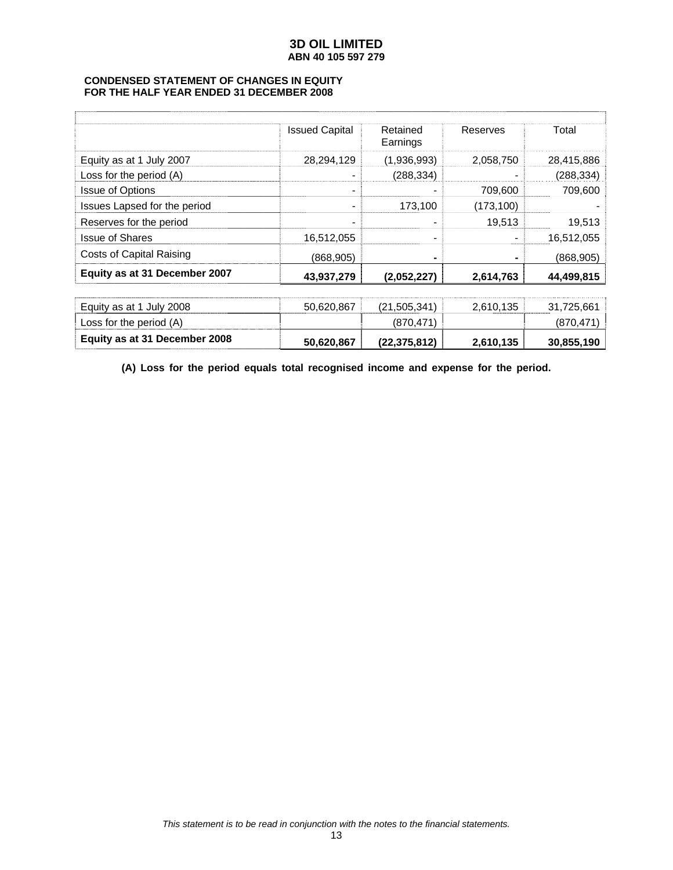# **CONDENSED STATEMENT OF CHANGES IN EQUITY FOR THE HALF YEAR ENDED 31 DECEMBER 2008**

|                                 | <b>Issued Capital</b> | Retained<br>Earnings | Reserves   | Total      |
|---------------------------------|-----------------------|----------------------|------------|------------|
| Equity as at 1 July 2007        | 28,294,129            | (1,936,993)          | 2,058,750  | 28,415,886 |
| Loss for the period (A)         |                       | (288, 334)           |            | (288, 334) |
| <b>Issue of Options</b>         | -                     |                      | 709,600    | 709,600    |
| Issues Lapsed for the period    | -                     | 173,100              | (173, 100) |            |
| Reserves for the period         |                       |                      | 19,513     | 19,513     |
| <b>Issue of Shares</b>          | 16,512,055            |                      | -          | 16,512,055 |
| <b>Costs of Capital Raising</b> | (868,905)             |                      | ۰          | (868, 905) |
| Equity as at 31 December 2007   | 43,937,279            | (2,052,227)          | 2,614,763  | 44,499,815 |
| Equity as at 1 July 2008        | 50,620,867            | (21,505,341)         | 2,610,135  | 31,725,661 |
| Loss for the period (A)         |                       | (870, 471)           |            | (870, 471) |
| Equity as at 31 December 2008   | 50,620,867            | (22,375,812)         | 2,610,135  | 30,855,190 |

**(A) Loss for the period equals total recognised income and expense for the period.**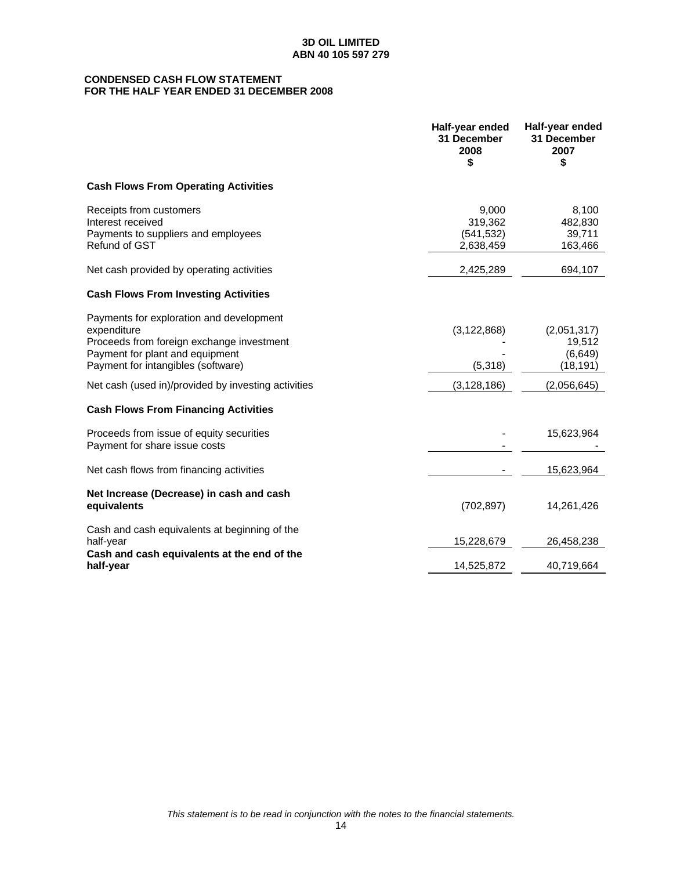# **CONDENSED CASH FLOW STATEMENT FOR THE HALF YEAR ENDED 31 DECEMBER 2008**

|                                                                                                                                                                               | Half-year ended<br>31 December<br>2008<br>\$ | Half-year ended<br>31 December<br>2007<br>\$  |
|-------------------------------------------------------------------------------------------------------------------------------------------------------------------------------|----------------------------------------------|-----------------------------------------------|
| <b>Cash Flows From Operating Activities</b>                                                                                                                                   |                                              |                                               |
| Receipts from customers<br>Interest received<br>Payments to suppliers and employees<br>Refund of GST                                                                          | 9,000<br>319,362<br>(541, 532)<br>2,638,459  | 8,100<br>482,830<br>39,711<br>163,466         |
| Net cash provided by operating activities                                                                                                                                     | 2,425,289                                    | 694,107                                       |
| <b>Cash Flows From Investing Activities</b>                                                                                                                                   |                                              |                                               |
| Payments for exploration and development<br>expenditure<br>Proceeds from foreign exchange investment<br>Payment for plant and equipment<br>Payment for intangibles (software) | (3, 122, 868)<br>(5,318)                     | (2,051,317)<br>19,512<br>(6,649)<br>(18, 191) |
| Net cash (used in)/provided by investing activities                                                                                                                           | (3, 128, 186)                                | (2,056,645)                                   |
| <b>Cash Flows From Financing Activities</b>                                                                                                                                   |                                              |                                               |
| Proceeds from issue of equity securities<br>Payment for share issue costs                                                                                                     |                                              | 15,623,964                                    |
| Net cash flows from financing activities                                                                                                                                      |                                              | 15,623,964                                    |
| Net Increase (Decrease) in cash and cash<br>equivalents                                                                                                                       | (702, 897)                                   | 14,261,426                                    |
| Cash and cash equivalents at beginning of the<br>half-year                                                                                                                    | 15,228,679                                   | 26,458,238                                    |
| Cash and cash equivalents at the end of the<br>half-year                                                                                                                      | 14,525,872                                   | 40,719,664                                    |